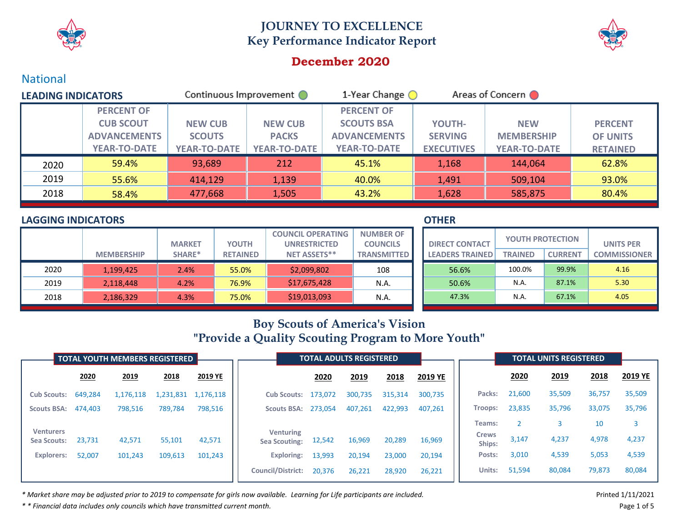



## **December 2020**

## National

| <b>LEADING INDICATORS</b> |                     | Continuous Improvement O |                     | 1-Year Change $\bigcirc$ | Areas of Concern  |                     |                 |
|---------------------------|---------------------|--------------------------|---------------------|--------------------------|-------------------|---------------------|-----------------|
|                           | <b>PERCENT OF</b>   |                          |                     | <b>PERCENT OF</b>        |                   |                     |                 |
|                           | <b>CUB SCOUT</b>    | <b>NEW CUB</b>           | <b>NEW CUB</b>      | <b>SCOUTS BSA</b>        | YOUTH-            | <b>NEW</b>          | <b>PERCENT</b>  |
|                           | <b>ADVANCEMENTS</b> | <b>SCOUTS</b>            | <b>PACKS</b>        | <b>ADVANCEMENTS</b>      | <b>SERVING</b>    | <b>MEMBERSHIP</b>   | <b>OF UNITS</b> |
|                           | <b>YEAR-TO-DATE</b> | <b>YEAR-TO-DATE</b>      | <b>YEAR-TO-DATE</b> | <b>YEAR-TO-DATE</b>      | <b>EXECUTIVES</b> | <b>YEAR-TO-DATE</b> | <b>RETAINED</b> |
| 2020                      | 59.4%               | 93,689                   | 212                 | 45.1%                    | 1,168             | 144,064             | 62.8%           |
| 2019                      | 55.6%               | 414,129                  | 1,139               | 40.0%                    | 1,491             | 509,104             | 93.0%           |
| 2018                      | 58.4%               | 477,668                  | 1,505               | 43.2%                    | 1,628             | 585,875             | 80.4%           |

## **LAGGING INDICATORS**

|      |                   |               |                 | <b>COUNCIL OPERATING</b> | <b>NUMBER OF</b>   |
|------|-------------------|---------------|-----------------|--------------------------|--------------------|
|      |                   | <b>MARKET</b> | <b>YOUTH</b>    | <b>UNRESTRICTED</b>      | <b>COUNCILS</b>    |
|      | <b>MEMBERSHIP</b> | SHARE*        | <b>RETAINED</b> | <b>NET ASSETS**</b>      | <b>TRANSMITTED</b> |
| 2020 | 1,199,425         | 2.4%          | 55.0%           | \$2,099,802              | 108                |
| 2019 | 2,118,448         | 4.2%          | 76.9%           | \$17,675,428             | N.A.               |
| 2018 | 2,186,329         | 4.3%          | 75.0%           | \$19,013,093             | N.A.               |

#### **OTHER**

| <b>DIRECT CONTACT</b>  | <b>YOUTH PROTECTION</b> |                | <b>UNITS PER</b>    |  |  |
|------------------------|-------------------------|----------------|---------------------|--|--|
| <b>LEADERS TRAINED</b> | <b>TRAINED</b>          | <b>CURRENT</b> | <b>COMMISSIONER</b> |  |  |
| 56.6%                  | 100.0%                  | 99.9%          | 4.16                |  |  |
| 50.6%                  | N.A.                    | 87.1%          | 5.30                |  |  |
| 47.3%                  | N.A.                    | 67.1%          | 4.05                |  |  |

# **Boy Scouts of America's Vision "Provide a Quality Scouting Program to More Youth"**

|                                 |         | <b>TOTAL YOUTH MEMBERS REGISTERED</b> |           |           | <b>TOTAL ADULTS REGISTERED</b>           |         |         |         |         |                        |        | <b>TOTAL UNITS REGISTERED</b> |        |         |
|---------------------------------|---------|---------------------------------------|-----------|-----------|------------------------------------------|---------|---------|---------|---------|------------------------|--------|-------------------------------|--------|---------|
|                                 | 2020    | 2019                                  | 2018      | 2019 YE   |                                          | 2020    | 2019    | 2018    | 2019 YE |                        | 2020   | 2019                          | 2018   | 2019 YE |
| <b>Cub Scouts:</b>              | 649,284 | 1,176,118                             | 1,231,831 | 1,176,118 | <b>Cub Scouts:</b>                       | 173,072 | 300,735 | 315,314 | 300,735 | Packs:                 | 21,600 | 35,509                        | 36,757 | 35,509  |
| <b>Scouts BSA:</b>              | 474.403 | 798,516                               | 789,784   | 798,516   | <b>Scouts BSA:</b>                       | 273.054 | 407,261 | 422,993 | 407.261 | <b>Troops:</b>         | 23,835 | 35,796                        | 33,075 | 35,796  |
|                                 |         |                                       |           |           |                                          |         |         |         |         | Teams:                 |        |                               | 10     | 3       |
| <b>Venturers</b><br>Sea Scouts: | 23,731  | 42,571                                | 55,101    | 42,571    | <b>Venturing</b><br><b>Sea Scouting:</b> | 12,542  | 16,969  | 20,289  | 16,969  | <b>Crews</b><br>Ships: | 3,147  | 4,237                         | 4,978  | 4,237   |
| <b>Explorers:</b>               | 52,007  | 101,243                               | 109,613   | 101,243   | <b>Exploring:</b>                        | 13,993  | 20,194  | 23,000  | 20,194  | Posts:                 | 3,010  | 4,539                         | 5,053  | 4,539   |
|                                 |         |                                       |           |           | <b>Council/District:</b>                 | 20,376  | 26,221  | 28,920  | 26,221  | Units:                 | 51,594 | 80,084                        | 79,873 | 80,084  |

\* Market share may be adjusted prior to 2019 to compensate for girls now available. Learning for Life participants are included. Narket share may be adjusted printed 1/11/2021

*\* \* Financial data includes only councils which have transmitted current month.* Page 1 of 5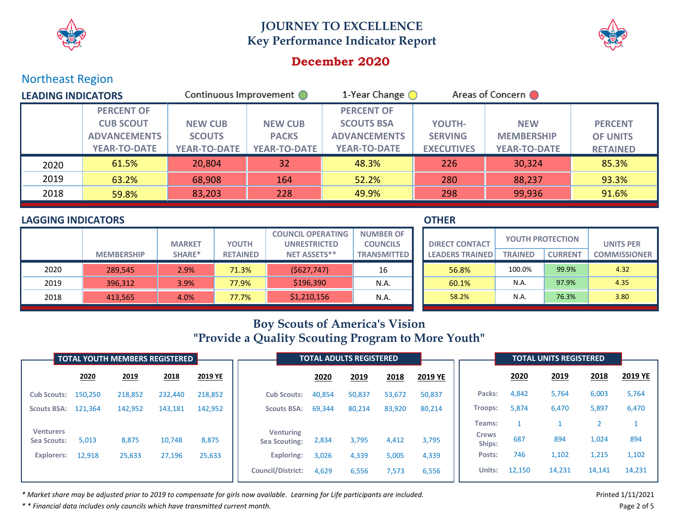



## **December 2020**

## Northeast Region

| <b>LEADING INDICATORS</b> |                     | Continuous Improvement ( |                     | 1-Year Change $\bigcirc$ | Areas of Concern  |                     |                 |
|---------------------------|---------------------|--------------------------|---------------------|--------------------------|-------------------|---------------------|-----------------|
|                           | <b>PERCENT OF</b>   |                          |                     | <b>PERCENT OF</b>        |                   |                     |                 |
|                           | <b>CUB SCOUT</b>    | <b>NEW CUB</b>           | <b>NEW CUB</b>      | <b>SCOUTS BSA</b>        | YOUTH-            | <b>NEW</b>          | <b>PERCENT</b>  |
|                           | <b>ADVANCEMENTS</b> | <b>SCOUTS</b>            | <b>PACKS</b>        | <b>ADVANCEMENTS</b>      | <b>SERVING</b>    | <b>MEMBERSHIP</b>   | <b>OF UNITS</b> |
|                           | <b>YEAR-TO-DATE</b> | <b>YEAR-TO-DATE</b>      | <b>YEAR-TO-DATE</b> | <b>YEAR-TO-DATE</b>      | <b>EXECUTIVES</b> | <b>YEAR-TO-DATE</b> | <b>RETAINED</b> |
| 2020                      | 61.5%               | 20,804                   | 32                  | 48.3%                    | 226               | 30,324              | 85.3%           |
| 2019                      | 63.2%               | 68,908                   | 164                 | 52.2%                    | 280               | 88,237              | 93.3%           |
| 2018                      | 59.8%               | 83,203                   | 228                 | 49.9%                    | 298               | 99,936              | 91.6%           |

### **LAGGING INDICATORS**

|      |                   |               |                 | <b>COUNCIL OPERATING</b> | <b>NUMBER OF</b>   |
|------|-------------------|---------------|-----------------|--------------------------|--------------------|
|      |                   | <b>MARKET</b> | <b>YOUTH</b>    | <b>UNRESTRICTED</b>      | <b>COUNCILS</b>    |
|      | <b>MEMBERSHIP</b> | SHARE*        | <b>RETAINED</b> | <b>NET ASSETS**</b>      | <b>TRANSMITTED</b> |
| 2020 | 289.545           | 2.9%          | 71.3%           | (5627,747)               | 16                 |
| 2019 | 396,312           | 3.9%          | 77.9%           | \$196,390                | N.A.               |
| 2018 | 413,565           | 4.0%          | 77.7%           | \$1,210,156              | N.A.               |

#### **OTHER**

| <b>DIRECT CONTACT</b>  | <b>YOUTH PROTECTION</b> |                | <b>UNITS PER</b>    |  |  |  |
|------------------------|-------------------------|----------------|---------------------|--|--|--|
| <b>LEADERS TRAINED</b> | <b>TRAINED</b>          | <b>CURRENT</b> | <b>COMMISSIONER</b> |  |  |  |
| 56.8%                  | 100.0%                  | 99.9%          | 4.32                |  |  |  |
| 60.1%                  | N.A.                    | 97.9%          | 4.35                |  |  |  |
| 58.2%                  | N.A.                    | 76.3%          | 3.80                |  |  |  |

# **Boy Scouts of America's Vision "Provide a Quality Scouting Program to More Youth"**

|                                 | TOTAL YOUTH MEMBERS REGISTERED |         |         |         | <b>TOTAL ADULTS REGISTERED</b>           |        |             |        |         |                        | <b>TOTAL UNITS REGISTERED</b> |        |        |         |
|---------------------------------|--------------------------------|---------|---------|---------|------------------------------------------|--------|-------------|--------|---------|------------------------|-------------------------------|--------|--------|---------|
|                                 | 2020                           | 2019    | 2018    | 2019 YE |                                          | 2020   | <u>2019</u> | 2018   | 2019 YE |                        | 2020                          | 2019   | 2018   | 2019 YE |
| <b>Cub Scouts:</b>              | 150,250                        | 218,852 | 232,440 | 218,852 | <b>Cub Scouts:</b>                       | 40,854 | 50,837      | 53,672 | 50,837  | Packs:                 | 4,842                         | 5,764  | 6,003  | 5,764   |
| <b>Scouts BSA:</b>              | 121,364                        | 142,952 | 143,181 | 142,952 | <b>Scouts BSA:</b>                       | 69,344 | 80,214      | 83,920 | 80,214  | <b>Troops:</b>         | 5,874                         | 6,470  | 5,897  | 6,470   |
|                                 |                                |         |         |         |                                          |        |             |        |         | Teams:                 |                               |        |        |         |
| <b>Venturers</b><br>Sea Scouts: | 5,013                          | 8,875   | 10,748  | 8,875   | <b>Venturing</b><br><b>Sea Scouting:</b> | 2,834  | 3,795       | 4,412  | 3,795   | <b>Crews</b><br>Ships: | 687                           | 894    | 1,024  | 894     |
| <b>Explorers:</b>               | 12,918                         | 25,633  | 27,196  | 25,633  | <b>Exploring:</b>                        | 3,026  | 4,339       | 5,005  | 4,339   | Posts:                 | 746                           | 1,102  | 1,215  | 1,102   |
|                                 |                                |         |         |         | <b>Council/District:</b>                 | 4,629  | 6,556       | 7,573  | 6,556   | Units:                 | 12,150                        | 14,231 | 14,141 | 14,231  |

\* Market share may be adjusted prior to 2019 to compensate for girls now available. Learning for Life participants are included. Narket share may be adjusted printed 1/11/2021

*\* \* Financial data includes only councils which have transmitted current month.* Page 2 of 5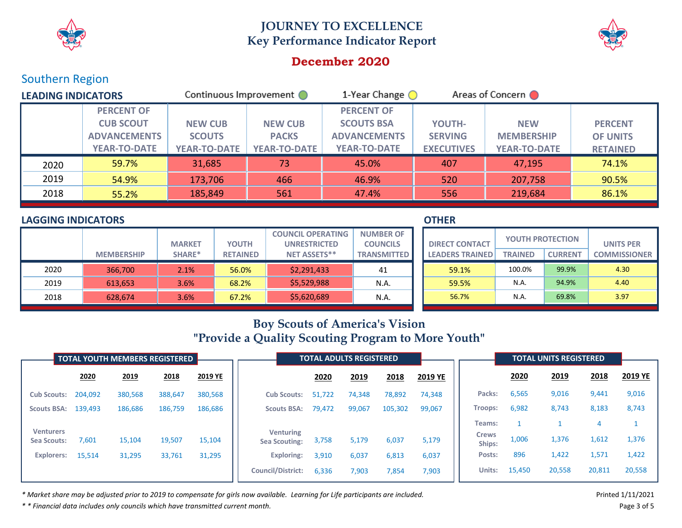



## **December 2020**

## Southern Region

| <b>LEADING INDICATORS</b> |                     | Continuous Improvement ( |                     | 1-Year Change $\bigcirc$ |                   | Areas of Concern    |                 |  |
|---------------------------|---------------------|--------------------------|---------------------|--------------------------|-------------------|---------------------|-----------------|--|
|                           | <b>PERCENT OF</b>   |                          |                     | <b>PERCENT OF</b>        |                   |                     |                 |  |
|                           | <b>CUB SCOUT</b>    | <b>NEW CUB</b>           | <b>NEW CUB</b>      | <b>SCOUTS BSA</b>        | YOUTH-            | <b>NEW</b>          | <b>PERCENT</b>  |  |
|                           | <b>ADVANCEMENTS</b> | <b>SCOUTS</b>            | <b>PACKS</b>        | <b>ADVANCEMENTS</b>      | <b>SERVING</b>    | <b>MEMBERSHIP</b>   | <b>OF UNITS</b> |  |
|                           | <b>YEAR-TO-DATE</b> | <b>YEAR-TO-DATE</b>      | <b>YEAR-TO-DATE</b> | <b>YEAR-TO-DATE</b>      | <b>EXECUTIVES</b> | <b>YEAR-TO-DATE</b> | <b>RETAINED</b> |  |
| 2020                      | 59.7%               | 31,685                   | 73                  | 45.0%                    | 407               | 47,195              | 74.1%           |  |
| 2019                      | 54.9%               | 173,706                  | 466                 | 46.9%                    | 520               | 207,758             | 90.5%           |  |
| 2018                      | 55.2%               | 185,849                  | 561                 | 47.4%                    | 556               | 219,684             | 86.1%           |  |

### **LAGGING INDICATORS**

|      |                   |               |                 | <b>COUNCIL OPERATING</b> | <b>NUMBER OF</b>   |
|------|-------------------|---------------|-----------------|--------------------------|--------------------|
|      |                   | <b>MARKET</b> | <b>YOUTH</b>    | <b>UNRESTRICTED</b>      | <b>COUNCILS</b>    |
|      | <b>MEMBERSHIP</b> | SHARE*        | <b>RETAINED</b> | <b>NET ASSETS**</b>      | <b>TRANSMITTED</b> |
| 2020 | 366,700           | 2.1%          | 56.0%           | \$2,291,433              | 41                 |
| 2019 | 613,653           | 3.6%          | 68.2%           | \$5,529,988              | N.A.               |
| 2018 | 628,674           | 3.6%          | 67.2%           | \$5,620,689              | N.A.               |

#### **OTHER**

| <b>DIRECT CONTACT</b>  | <b>YOUTH PROTECTION</b> |                | <b>UNITS PER</b>    |  |  |  |
|------------------------|-------------------------|----------------|---------------------|--|--|--|
| <b>LEADERS TRAINED</b> | <b>TRAINED</b>          | <b>CURRENT</b> | <b>COMMISSIONER</b> |  |  |  |
| 59.1%                  | 100.0%                  | 99.9%          | 4.30                |  |  |  |
| 59.5%                  | N.A.                    | 94.9%          | 4.40                |  |  |  |
| 56.7%                  | N.A.                    | 69.8%          | 3.97                |  |  |  |

# **Boy Scouts of America's Vision "Provide a Quality Scouting Program to More Youth"**

|                                 | <b>TOTAL YOUTH MEMBERS REGISTERED</b> |         |         |         | <b>TOTAL ADULTS REGISTERED</b>           |        |        |         |         |                        | <b>TOTAL UNITS REGISTERED</b> |        |        |         |
|---------------------------------|---------------------------------------|---------|---------|---------|------------------------------------------|--------|--------|---------|---------|------------------------|-------------------------------|--------|--------|---------|
|                                 | 2020                                  | 2019    | 2018    | 2019 YE |                                          | 2020   | 2019   | 2018    | 2019 YE |                        | 2020                          | 2019   | 2018   | 2019 YE |
| <b>Cub Scouts:</b>              | 204,092                               | 380,568 | 388,647 | 380,568 | <b>Cub Scouts:</b>                       | 51,722 | 74,348 | 78,892  | 74,348  | Packs:                 | 6,565                         | 9,016  | 9,441  | 9,016   |
| <b>Scouts BSA:</b>              | 139,493                               | 186,686 | 186,759 | 186,686 | <b>Scouts BSA:</b>                       | 79,472 | 99,067 | 105,302 | 99,067  | <b>Troops:</b>         | 6,982                         | 8,743  | 8,183  | 8,743   |
|                                 |                                       |         |         |         |                                          |        |        |         |         | Teams:                 |                               |        |        |         |
| <b>Venturers</b><br>Sea Scouts: | 7,601                                 | 15,104  | 19,507  | 15,104  | <b>Venturing</b><br><b>Sea Scouting:</b> | 3,758  | 5,179  | 6,037   | 5,179   | <b>Crews</b><br>Ships: | 1,006                         | 1,376  | 1,612  | 1,376   |
| <b>Explorers:</b>               | 15,514                                | 31,295  | 33,761  | 31,295  | <b>Exploring:</b>                        | 3,910  | 6,037  | 6,813   | 6,037   | Posts:                 | 896                           | 1,422  | 1,571  | 1,422   |
|                                 |                                       |         |         |         | <b>Council/District:</b>                 | 6,336  | 7,903  | 7,854   | 7,903   | Units:                 | 15,450                        | 20,558 | 20,811 | 20,558  |

\* Market share may be adjusted prior to 2019 to compensate for girls now available. Learning for Life participants are included. Narket share may be adjusted printed 1/11/2021

*\* \* Financial data includes only councils which have transmitted current month.* Page 3 of 5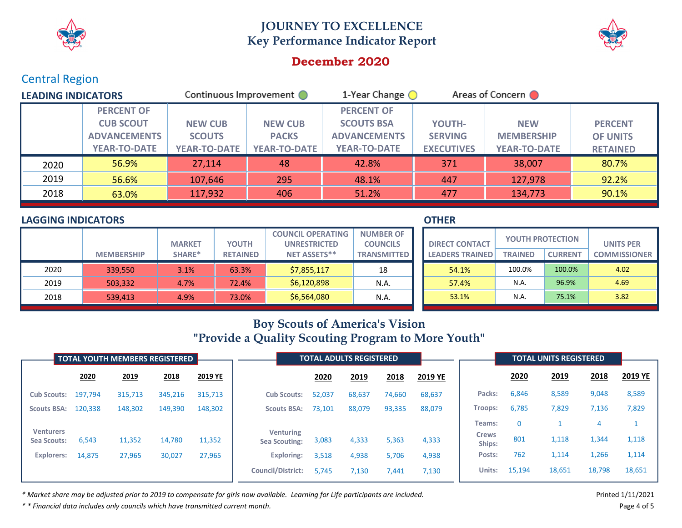



## **December 2020**

## Central Region

| <b>LEADING INDICATORS</b> |                     | Continuous Improvement O |                     | 1-Year Change (     | Areas of Concern  |                     |                 |
|---------------------------|---------------------|--------------------------|---------------------|---------------------|-------------------|---------------------|-----------------|
|                           | <b>PERCENT OF</b>   |                          |                     | <b>PERCENT OF</b>   |                   |                     |                 |
|                           | <b>CUB SCOUT</b>    | <b>NEW CUB</b>           | <b>NEW CUB</b>      | <b>SCOUTS BSA</b>   | YOUTH-            | <b>NEW</b>          | <b>PERCENT</b>  |
|                           | <b>ADVANCEMENTS</b> | <b>SCOUTS</b>            | <b>PACKS</b>        | <b>ADVANCEMENTS</b> | <b>SERVING</b>    | <b>MEMBERSHIP</b>   | <b>OF UNITS</b> |
|                           | <b>YEAR-TO-DATE</b> | <b>YEAR-TO-DATE</b>      | <b>YEAR-TO-DATE</b> | <b>YEAR-TO-DATE</b> | <b>EXECUTIVES</b> | <b>YEAR-TO-DATE</b> | <b>RETAINED</b> |
| 2020                      | 56.9%               | 27,114                   | 48                  | 42.8%               | 371               | 38,007              | 80.7%           |
| 2019                      | 56.6%               | 107,646                  | 295                 | 48.1%               | 447               | 127,978             | 92.2%           |
| 2018                      | 63.0%               | 117,932                  | 406                 | 51.2%               | 477               | 134,773             | 90.1%           |

### **LAGGING INDICATORS**

|      |                   |               |                 | <b>COUNCIL OPERATING</b> | <b>NUMBER OF</b>   |
|------|-------------------|---------------|-----------------|--------------------------|--------------------|
|      |                   | <b>MARKET</b> | <b>YOUTH</b>    | <b>UNRESTRICTED</b>      | <b>COUNCILS</b>    |
|      | <b>MEMBERSHIP</b> | SHARE*        | <b>RETAINED</b> | <b>NET ASSETS**</b>      | <b>TRANSMITTED</b> |
| 2020 | 339,550           | 3.1%          | 63.3%           | \$7,855,117              | 18                 |
| 2019 | 503,332           | 4.7%          | 72.4%           | \$6,120,898              | N.A.               |
| 2018 | 539,413           | 4.9%          | 73.0%           | \$6,564,080              | N.A.               |

### **OTHER**

| <b>DIRECT CONTACT</b>  | <b>YOUTH PROTECTION</b> |                | <b>UNITS PER</b>    |  |  |  |  |
|------------------------|-------------------------|----------------|---------------------|--|--|--|--|
| <b>LEADERS TRAINED</b> | <b>TRAINED</b>          | <b>CURRENT</b> | <b>COMMISSIONER</b> |  |  |  |  |
| 54.1%                  | 100.0%                  | 100.0%         | 4.02                |  |  |  |  |
| 57.4%                  | N.A.                    | 96.9%          | 4.69                |  |  |  |  |
| 53.1%                  | N.A.                    | 75.1%          | 3.82                |  |  |  |  |

# **Boy Scouts of America's Vision "Provide a Quality Scouting Program to More Youth"**

| <b>TOTAL YOUTH MEMBERS REGISTERED</b>  |         |         |         |         | <b>TOTAL ADULTS REGISTERED</b>           |        |        |        |         | <b>TOTAL UNITS REGISTERED</b> |          |        |        |         |
|----------------------------------------|---------|---------|---------|---------|------------------------------------------|--------|--------|--------|---------|-------------------------------|----------|--------|--------|---------|
|                                        | 2020    | 2019    | 2018    | 2019 YE |                                          | 2020   | 2019   | 2018   | 2019 YE |                               | 2020     | 2019   | 2018   | 2019 YE |
| <b>Cub Scouts:</b>                     | 197,794 | 315,713 | 345,216 | 315,713 | <b>Cub Scouts:</b>                       | 52,037 | 68,637 | 74,660 | 68,637  | Packs:                        | 6,846    | 8,589  | 9,048  | 8,589   |
| <b>Scouts BSA:</b>                     | 120,338 | 148,302 | 149,390 | 148,302 | <b>Scouts BSA:</b>                       | 73,101 | 88,079 | 93,335 | 88,079  | <b>Troops:</b>                | 6,785    | 7,829  | 7,136  | 7,829   |
|                                        |         |         |         |         |                                          |        |        |        |         | Teams:                        | $\Omega$ |        |        |         |
| <b>Venturers</b><br><b>Sea Scouts:</b> | 6,543   | 11,352  | 14,780  | 11,352  | <b>Venturing</b><br><b>Sea Scouting:</b> | 3,083  | 4,333  | 5,363  | 4,333   | <b>Crews</b><br>Ships:        | 801      | 1,118  | 1,344  | 1,118   |
| <b>Explorers:</b>                      | 14,875  | 27,965  | 30,027  | 27,965  | <b>Exploring:</b>                        | 3,518  | 4,938  | 5,706  | 4,938   | Posts:                        | 762      | 1,114  | 1,266  | 1,114   |
|                                        |         |         |         |         | <b>Council/District:</b>                 | 5,745  | 7,130  | 7,441  | 7,130   | Units:                        | 15,194   | 18,651 | 18,798 | 18,651  |

\* Market share may be adjusted prior to 2019 to compensate for girls now available. Learning for Life participants are included. Narket share may be adjusted printed 1/11/2021

*\* \* Financial data includes only councils which have transmitted current month.* Page 4 of 5